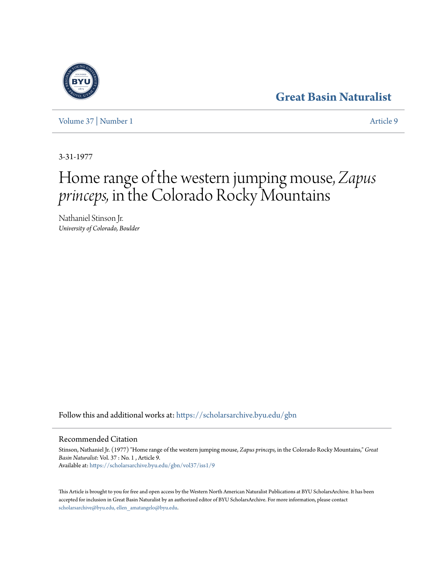## **[Great Basin Naturalist](https://scholarsarchive.byu.edu/gbn?utm_source=scholarsarchive.byu.edu%2Fgbn%2Fvol37%2Fiss1%2F9&utm_medium=PDF&utm_campaign=PDFCoverPages)**

[Volume 37](https://scholarsarchive.byu.edu/gbn/vol37?utm_source=scholarsarchive.byu.edu%2Fgbn%2Fvol37%2Fiss1%2F9&utm_medium=PDF&utm_campaign=PDFCoverPages) | [Number 1](https://scholarsarchive.byu.edu/gbn/vol37/iss1?utm_source=scholarsarchive.byu.edu%2Fgbn%2Fvol37%2Fiss1%2F9&utm_medium=PDF&utm_campaign=PDFCoverPages) [Article 9](https://scholarsarchive.byu.edu/gbn/vol37/iss1/9?utm_source=scholarsarchive.byu.edu%2Fgbn%2Fvol37%2Fiss1%2F9&utm_medium=PDF&utm_campaign=PDFCoverPages)

3-31-1977

# Home range of the western jumping mouse, *Zapus princeps,* in the Colorado Rocky Mountains

Nathaniel Stinson Jr. *University of Colorado, Boulder*

Follow this and additional works at: [https://scholarsarchive.byu.edu/gbn](https://scholarsarchive.byu.edu/gbn?utm_source=scholarsarchive.byu.edu%2Fgbn%2Fvol37%2Fiss1%2F9&utm_medium=PDF&utm_campaign=PDFCoverPages)

### Recommended Citation

Stinson, Nathaniel Jr. (1977) "Home range of the western jumping mouse, *Zapus princeps,* in the Colorado Rocky Mountains," *Great Basin Naturalist*: Vol. 37 : No. 1 , Article 9. Available at: [https://scholarsarchive.byu.edu/gbn/vol37/iss1/9](https://scholarsarchive.byu.edu/gbn/vol37/iss1/9?utm_source=scholarsarchive.byu.edu%2Fgbn%2Fvol37%2Fiss1%2F9&utm_medium=PDF&utm_campaign=PDFCoverPages)

This Article is brought to you for free and open access by the Western North American Naturalist Publications at BYU ScholarsArchive. It has been accepted for inclusion in Great Basin Naturalist by an authorized editor of BYU ScholarsArchive. For more information, please contact [scholarsarchive@byu.edu, ellen\\_amatangelo@byu.edu.](mailto:scholarsarchive@byu.edu,%20ellen_amatangelo@byu.edu)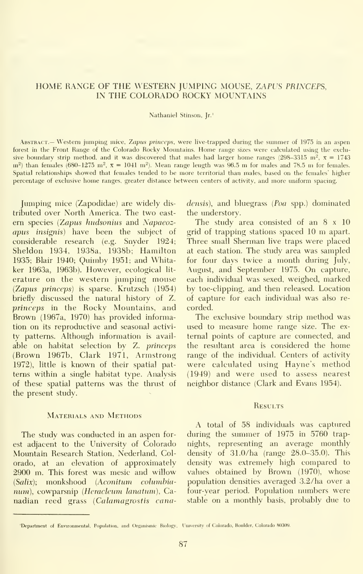#### HOME RANGE OF THE WESTERN JUMPING MOUSE, ZAPUS PRINCEPS, IN THE COLORADO ROCKY MOUNTAINS

#### Nathaniel Stinson, Jr.'

Abstract.— Western jumping mice, Zapus princeps, were live-trapped during the summer of 1975 in an aspen forest in the Front Range of the Colorado Rocky Mountains. Home range sizes were calculated using the exclusive boundary strip method, and it was discovered that males had larger home ranges (298-3315 m<sup>2</sup>, x = 1743)  $m^2$ ) than females (680-1275  $m^2$ ,  $x = 1041$  m<sup>2</sup>). Mean range length was 96.5 m for males and 78.5 m for females. Spatial relationships showed that females tended to be more territorial than males, based on the females' higher percentage of exclusive home ranges, greater distance between centers of activity, and more uniform spacing.

Jumping mice (Zapodidae) are widely dis tributed over North America. The two east ern species (Zapus hudsonius and Napaeozapus insignis) have been the subject of considerable research (e.g. Snyder 1924; Sheldon 1934, 1938a, 1938b; Hamilton 1935; Blair 1940; Quimby 1951; and Whitaker 1963a, 1963b). However, ecological lit erature on the western jumping mouse {Zapus princeps) is sparse. Krutzsch (1954) briefly discussed the natural history of Z. princeps in the Rocky Mountains, and Brown (1967a, 1970) has provided information on its reproductive and seasonal activity patterns. Although information is avail able on habitat selection by Z. princeps (Brown 1967b, Clark 1971, Armstrong 1972), little is known of their spatial patterns within a single habitat type. Analysis of these spatial patterns was the thrust of the present study.

#### Materials and Methods

The study was conducted in an aspen forest adjacent to the University of Colorado Mountain Research Station, Nederland, Colorado, at an elevation of approximately 2900 m. This forest was mesic and willow {Salix); monkshood (Aconitum columhia num), cowparsnip (Heracleum lanatum), Canadian reed grass (Calamagrostis canadensis), and bluegrass (Poa spp.) dominated the understory.

The study area consisted of an 8 x 10 grid of trapping stations spaced <sup>10</sup> m apart. Three small Sherman live traps were placed at each station. The study area was sampled for four days twice a month during July, August, and September 1975. On capture, each individual was sexed, weighed, marked by toe-clipping, and then released. Location of capture for each individual was also re corded.

The exclusive boundary strip method was used to measure home range size. The ex ternal points of capture are connected, and the resultant area is considered the home range of the individual. Centers of activity were calculated using Hayne's method (1949) and were used to assess nearest neighbor distance (Clark and Evans 1954).

#### **RESULTS**

A total of 58 individuals was captured during the summer of 1975 in 5760 trapnights, representing an average monthly density of 31.0/ha (range 28.0-35.0). This density was extremely high compared to values obtained by Brown (1970), whose population densities averaged 3.2/ha over a four-year period. Population numbers were stable on a monthly basis, probably due to

<sup>&#</sup>x27;Department of Environmental, Population, and Organismic Biology, University of Colorado, Boulder, Colorado 80309.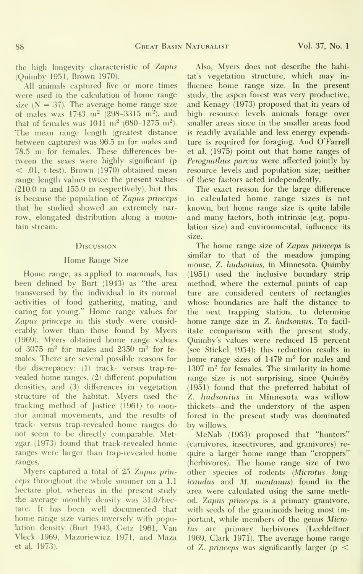the high longevity characteristic of Zapus (Quinibv 1951, Brown 1970).

All animals captured five or more times were used in the calculation of home range size  $(N = 37)$ . The average home range size of males was  $1743 \text{ m}^2$  (298-3315 m<sup>2</sup>), and that of females was  $1041 \text{ m}^2$  (680-1275 m<sup>2</sup>). The mean range length (greatest distance between captures) was 96.5 m for males and 78.5 m for females. These differences be-  $<$  .01, t-test). Brown (1970) obtained mean range length values twice the present values (210.0 m and 155.0 m respectively), but this is because the population of Zapus princeps that he studied showed an extremely nar row, elongated distribution along a mountain stream.

#### Discussion

#### Home Range Size

Home range, as applied to mammals, has been defined by Burt (1943) as "the area transversed by the individual in its normal activities of food gathering, mating, and caring for young." Home range values for Zapus princeps in this study were consid erably lower than those found by Myers (1969). Myers obtained home range values of 3075  $m^2$  for males and 2350  $m^2$  for females. There are several possible reasons for the discrepancy: (1) track- versus trap-re vealed home ranges, (2) different population densities, and (3) differences in vegetation structure of the habitat. Myers used the tracking method of Justice (1961) to monitor animal movements, and the results of track- versus trap-revealed home ranges do not seem to be directly comparable. Metzgar (1973) found that track-revealed home ranges were larger than trap-revealed home ranges.

Myers captured a total of 25 Zapus prin ceps throughout the whole summer on a 1.1 hectare plot, whereas in the present study the average monthly density was 31.0/hectare. It has been well documented that home range size varies inversely with population density (Burt 1943, Getz 1961, Van Vleck 1969, Mazuriewicz 1971, and Maza et al. 1973).

Also, Myers does not describe the habitat's vegetation structure, which may in fluence home range size. In the present study, the aspen forest was very productive, and Kenagy (1973) proposed that in years of high resource levels animals forage over smaller areas since in the smaller areas food is readily available and less energy expenditure is required for foraging. And O'Farrell et al. (1975) point out that home ranges of Perognathus parvus were affected jointly by resource levels and population size; neither of these factors acted independently.

The exact reason for the large difference in calculated home range sizes is not known, but home range size is quite labile and many factors, both intrinsic (e.g. population size) and environmental, influence its size.

The home range size of Zapus princeps issimilar to that of the meadow jumping mouse, Z. hudsonius, in Minnesota. Quimby (1951) used the inclusive boundary strip method, where the external points of capture are considered centers of rectangles whose boundaries are half the distance to the next trapping station, to determine home range size in Z. hudsonius. To facil itate comparison with the present study, Quimby's values were reduced 15 percent (see Stickel 1954); this reduction results in home range sizes of  $1479 \text{ m}^2$  for males and  $1307$  m<sup>2</sup> for females. The similarity in home range size is not surprising, since Quimby (1951) found that the preferred habitat of Z. hudsonius in Minnesota was willow thickets—and the understory of the aspen forest in the present study was dominated by willows.

McNab (1963) proposed that "hunters" (carnivores, insectivores, and granivores) re quire a larger home range than "croppers" (herbivores). The home range size of two other species of rodents (Microtus longicaudus and M. montanus) found in the area were calculated using the same method. Zapus princeps is a primary granivore, with seeds of the graminoids being most important, while members of the genus Microtus are primary herbivores (Lechleitner 1969, Clark 1971). The average home range of Z. princeps was significantly larger ( $p <$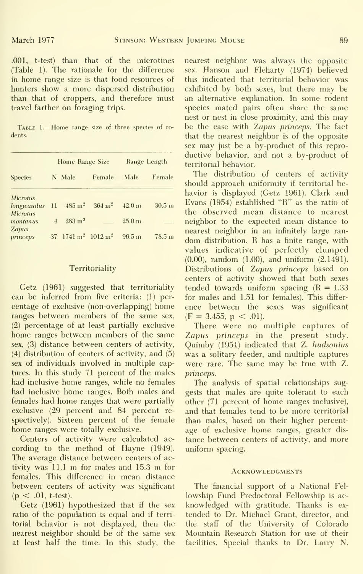.001, t-test) than that of the microtines (Table 1). The rationale for the difference in home range size is that food resources of hunters show a more dispersed distribution than that of croppers, and therefore must travel farther on foraging trips.

Table 1.— Home range size of three species of ro dents.

| <b>Species</b>                 | Home Range Size |                                            |                   | Range Length      |        |
|--------------------------------|-----------------|--------------------------------------------|-------------------|-------------------|--------|
|                                |                 | N Male                                     | Female            | Male              | Female |
| <b>Microtus</b>                |                 |                                            |                   |                   |        |
| longicaudus<br><b>Microtus</b> | $_{11}$         | $485 \text{ m}^2$                          | $364 \text{ m}^2$ | 42.0 <sub>m</sub> | 30.5 m |
| montanus                       | $\overline{1}$  | $283 \; \mathrm{m}^2$                      |                   | 25.0 <sub>m</sub> |        |
| <b>Zapus</b><br>princeps       |                 | 37 1741 m <sup>2</sup> 1012 m <sup>2</sup> |                   | 96.5 m            | 78.5 m |

#### Territoriality

Getz (1961) suggested that territoriality can be inferred from five criteria: (1) per centage of exclusive (non-overlapping) home ranges between members of the same sex, (2) percentage of at least partially exclusive home ranges between members of the same sex, (3) distance between centers of activity, (4) distribution of centers of activity, and (5) sex of individuals involved in multiple captures. In this study 71 percent of the males had inclusive home ranges, while no females had inclusive home ranges. Both males and females had home ranges that were partially exclusive (29 percent and 84 percent re spectively). Sixteen percent of the female home ranges were totally exclusive.

Centers of activity were calculated ac cording to the method of Hayne (1949). The average distance between centers of activity was 11.1 m for males and 15.3 m forfemales. This difference in mean distance between centers of activity was significant  $(p < .01, t-test)$ .

Getz (1961) hypothesized that if the sex ratio of the population is equal and if territorial behavior is not displayed, then the nearest neighbor should be of the same sex at least half the time. In this study, the nearest neighbor was always the opposite sex. Hanson and Fleharty (1974) believed this indicated that territorial behavior was exhibited by both sexes, but there may be an alternative explanation. In some rodent species mated pairs often share the same nest or nest in close proximity, and this may be the case with Zapus princeps. The fact that the nearest neighbor is of the opposite sex may just be a by-product of this repro ductive behavior, and not a by-product of territorial behavior.

The distribution of centers of activity should approach uniformity if territorial be havior is displayed (Getz 1961). Clark and Evans (1954) established "R" as the ratio of the observed mean distance to nearest neighbor to the expected mean distance to nearest neighbor in an infinitely large ran dom distribution. R has <sup>a</sup> finite range, with values indicative of perfectly clumped (0.00), random (1.00), and uniform (2.1491). Distributions of Zapus princeps based on centers of activity showed that both sexes tended towards uniform spacing  $(R = 1.33)$ for males and 1.51 for females). This differ ence between the sexes was significant  $(F = 3.455, p < .01)$ .

There were no multiple captures of Zapus princeps in the present study. Quimby (1951) indicated that Z. hudsonius was a solitary feeder, and multiple captures were rare. The same may be true with Z. princeps.

The analysis of spatial relationships suggests that males are quite tolerant to each other (71 percent of home ranges inclusive), and that females tend to be more territorial than males, based on their higher percent age of exclusive home ranges, greater dis tance between centers of activity, and more uniform spacing.

#### **ACKNOWLEDGMENTS**

The financial support of a National Fel lowship Fund Predoctoral Fellowship is acknowledged with gratitude. Thanks is extended to Dr. Michael Grant, director, and the staff of the University of Colorado Mountain Research Station for use of their facilities. Special thanks to Dr. Larry N.